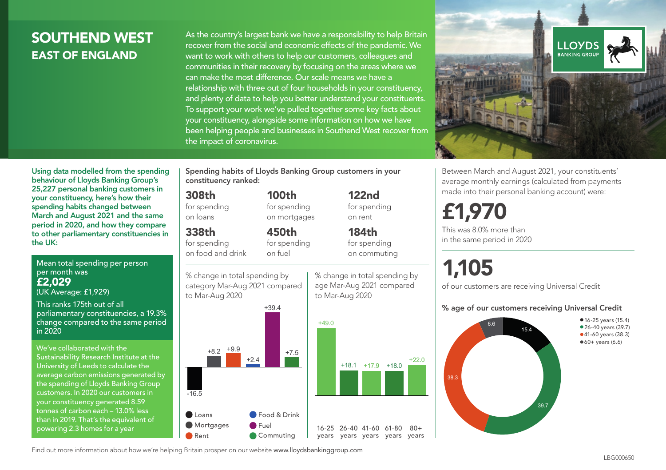# SOUTHEND WEST EAST OF ENGLAND

As the country's largest bank we have a responsibility to help Britain recover from the social and economic effects of the pandemic. We want to work with others to help our customers, colleagues and communities in their recovery by focusing on the areas where we can make the most difference. Our scale means we have a relationship with three out of four households in your constituency, and plenty of data to help you better understand your constituents. To support your work we've pulled together some key facts about your constituency, alongside some information on how we have been helping people and businesses in Southend West recover from the impact of coronavirus.



Using data modelled from the spending behaviour of Lloyds Banking Group's 25,227 personal banking customers in your constituency, here's how their spending habits changed between March and August 2021 and the same period in 2020, and how they compare to other parliamentary constituencies in the UK:

Mean total spending per person per month was £2,029 (UK Average: £1,929)

This ranks 175th out of all parliamentary constituencies, a 19.3% change compared to the same period in 2020

We've collaborated with the Sustainability Research Institute at the University of Leeds to calculate the average carbon emissions generated by the spending of Lloyds Banking Group customers. In 2020 our customers in your constituency generated 8.59 tonnes of carbon each – 13.0% less than in 2019. That's the equivalent of powering 2.3 homes for a year

Spending habits of Lloyds Banking Group customers in your constituency ranked:

> 100th for spending on mortgages

#### 308th

for spending on loans

# 338th

for spending on food and drink





122nd for spending on rent

> 184th for spending

on commuting

 $+18.1$   $+17.9$   $+18.0$   $+22.0$ 

% change in total spending by age Mar-Aug 2021 compared to Mar-Aug 2020



 $80+$ 

# £1,970 This was 8.0% more than in the same period in 2020

# 1,105

of our customers are receiving Universal Credit

#### % age of our customers receiving Universal Credit

Between March and August 2021, your constituents' average monthly earnings (calculated from payments made into their personal banking account) were:



Find out more information about how we're helping Britain prosper on our website www.lloydsbankinggroup.com